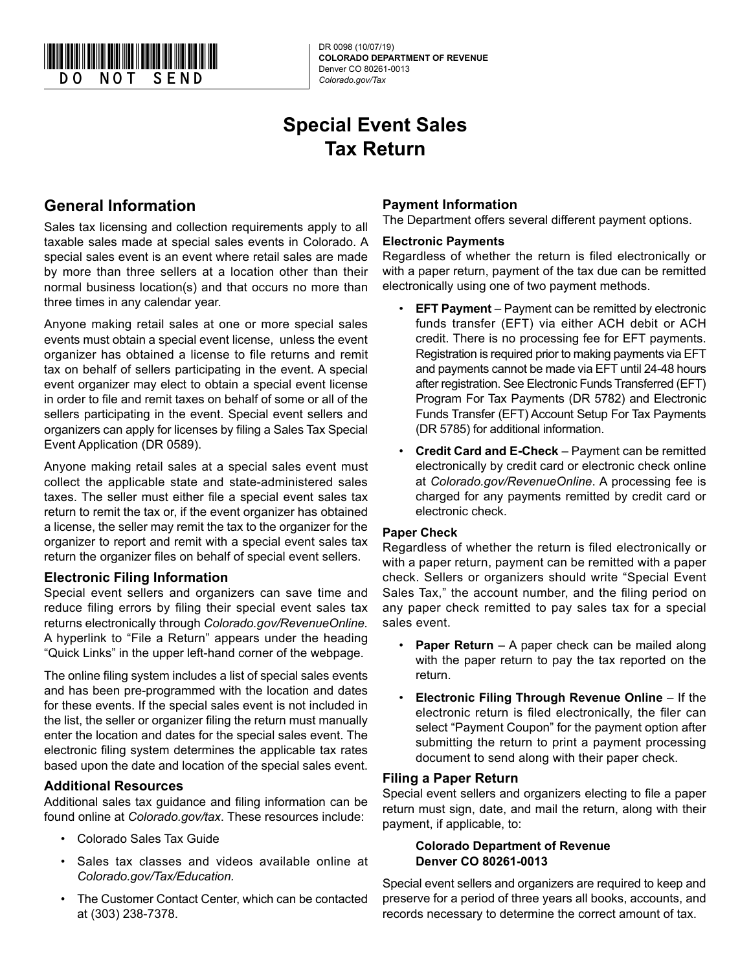

DR 0098 (10/07/19) **COLORADO DEPARTMENT OF REVENUE** Denver CO 80261-0013

# **Special Event Sales Tax Return**

# **General Information**

Sales tax licensing and collection requirements apply to all taxable sales made at special sales events in Colorado. A special sales event is an event where retail sales are made by more than three sellers at a location other than their normal business location(s) and that occurs no more than three times in any calendar year.

Anyone making retail sales at one or more special sales events must obtain a special event license, unless the event organizer has obtained a license to file returns and remit tax on behalf of sellers participating in the event. A special event organizer may elect to obtain a special event license in order to file and remit taxes on behalf of some or all of the sellers participating in the event. Special event sellers and organizers can apply for licenses by filing a Sales Tax Special Event Application (DR 0589).

Anyone making retail sales at a special sales event must collect the applicable state and state-administered sales taxes. The seller must either file a special event sales tax return to remit the tax or, if the event organizer has obtained a license, the seller may remit the tax to the organizer for the organizer to report and remit with a special event sales tax return the organizer files on behalf of special event sellers.

# **Electronic Filing Information**

Special event sellers and organizers can save time and reduce filing errors by filing their special event sales tax returns electronically through *Colorado.gov/RevenueOnline.* A hyperlink to "File a Return" appears under the heading "Quick Links" in the upper left-hand corner of the webpage.

The online filing system includes a list of special sales events and has been pre-programmed with the location and dates for these events. If the special sales event is not included in the list, the seller or organizer filing the return must manually enter the location and dates for the special sales event. The electronic filing system determines the applicable tax rates based upon the date and location of the special sales event.

## **Additional Resources**

Additional sales tax guidance and filing information can be found online at *Colorado.gov/tax*. These resources include:

- Colorado Sales Tax Guide
- Sales tax classes and videos available online at *Colorado.gov/Tax/Education.*
- The Customer Contact Center, which can be contacted at (303) 238-7378.

# **Payment Information**

The Department offers several different payment options.

### **Electronic Payments**

Regardless of whether the return is filed electronically or with a paper return, payment of the tax due can be remitted electronically using one of two payment methods.

- **EFT Payment** Payment can be remitted by electronic funds transfer (EFT) via either ACH debit or ACH credit. There is no processing fee for EFT payments. Registration is required prior to making payments via EFT and payments cannot be made via EFT until 24-48 hours after registration. See Electronic Funds Transferred (EFT) Program For Tax Payments (DR 5782) and Electronic Funds Transfer (EFT) Account Setup For Tax Payments (DR 5785) for additional information.
- **Credit Card and E-Check**  Payment can be remitted electronically by credit card or electronic check online at *Colorado.gov/RevenueOnline*. A processing fee is charged for any payments remitted by credit card or electronic check.

## **Paper Check**

Regardless of whether the return is filed electronically or with a paper return, payment can be remitted with a paper check. Sellers or organizers should write "Special Event Sales Tax," the account number, and the filing period on any paper check remitted to pay sales tax for a special sales event.

- **Paper Return** A paper check can be mailed along with the paper return to pay the tax reported on the return.
- **Electronic Filing Through Revenue Online**  If the electronic return is filed electronically, the filer can select "Payment Coupon" for the payment option after submitting the return to print a payment processing document to send along with their paper check.

# **Filing a Paper Return**

Special event sellers and organizers electing to file a paper return must sign, date, and mail the return, along with their payment, if applicable, to:

### **Colorado Department of Revenue Denver CO 80261-0013**

Special event sellers and organizers are required to keep and preserve for a period of three years all books, accounts, and records necessary to determine the correct amount of tax.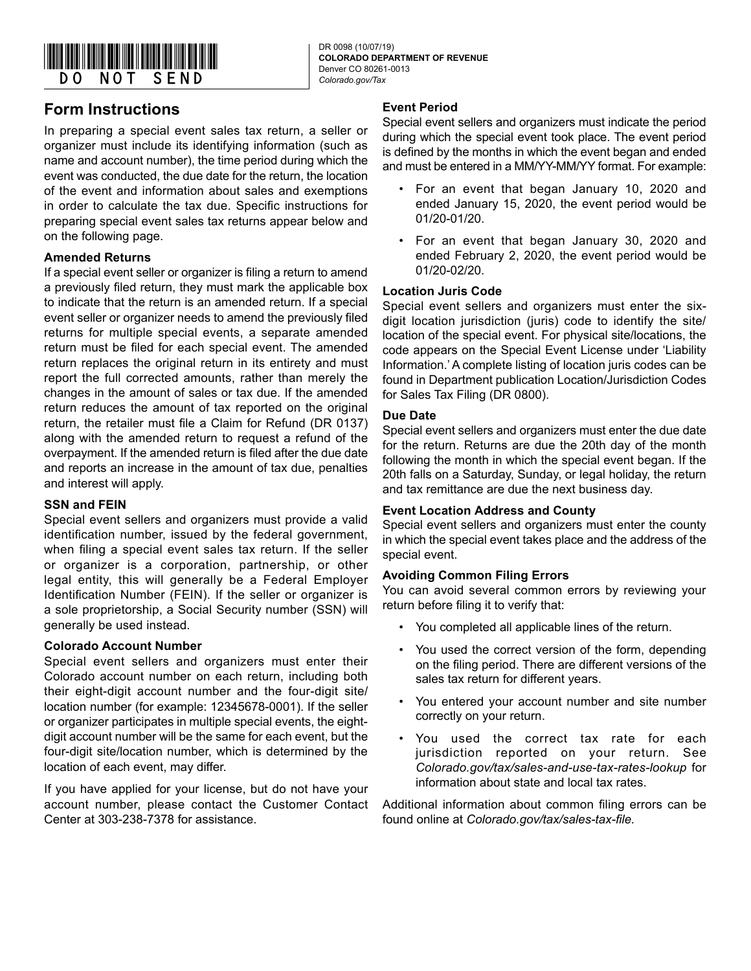

DR 0098 (10/07/19) **COLORADO DEPARTMENT OF REVENUE** Denver CO 80261-0013

# **Form Instructions**

In preparing a special event sales tax return, a seller or organizer must include its identifying information (such as name and account number), the time period during which the event was conducted, the due date for the return, the location of the event and information about sales and exemptions in order to calculate the tax due. Specific instructions for preparing special event sales tax returns appear below and on the following page.

## **Amended Returns**

If a special event seller or organizer is filing a return to amend a previously filed return, they must mark the applicable box to indicate that the return is an amended return. If a special event seller or organizer needs to amend the previously filed returns for multiple special events, a separate amended return must be filed for each special event. The amended return replaces the original return in its entirety and must report the full corrected amounts, rather than merely the changes in the amount of sales or tax due. If the amended return reduces the amount of tax reported on the original return, the retailer must file a Claim for Refund (DR 0137) along with the amended return to request a refund of the overpayment. If the amended return is filed after the due date and reports an increase in the amount of tax due, penalties and interest will apply.

#### **SSN and FEIN**

Special event sellers and organizers must provide a valid identification number, issued by the federal government, when filing a special event sales tax return. If the seller or organizer is a corporation, partnership, or other legal entity, this will generally be a Federal Employer Identification Number (FEIN). If the seller or organizer is a sole proprietorship, a Social Security number (SSN) will generally be used instead.

#### **Colorado Account Number**

Special event sellers and organizers must enter their Colorado account number on each return, including both their eight-digit account number and the four-digit site/ location number (for example: 12345678-0001). If the seller or organizer participates in multiple special events, the eightdigit account number will be the same for each event, but the four-digit site/location number, which is determined by the location of each event, may differ.

If you have applied for your license, but do not have your account number, please contact the Customer Contact Center at 303-238-7378 for assistance.

### **Event Period**

Special event sellers and organizers must indicate the period during which the special event took place. The event period is defined by the months in which the event began and ended and must be entered in a MM/YY-MM/YY format. For example:

- For an event that began January 10, 2020 and ended January 15, 2020, the event period would be 01/20-01/20.
- For an event that began January 30, 2020 and ended February 2, 2020, the event period would be 01/20-02/20.

### **Location Juris Code**

Special event sellers and organizers must enter the sixdigit location jurisdiction (juris) code to identify the site/ location of the special event. For physical site/locations, the code appears on the Special Event License under 'Liability Information.' A complete listing of location juris codes can be found in Department publication Location/Jurisdiction Codes for Sales Tax Filing (DR 0800).

### **Due Date**

Special event sellers and organizers must enter the due date for the return. Returns are due the 20th day of the month following the month in which the special event began. If the 20th falls on a Saturday, Sunday, or legal holiday, the return and tax remittance are due the next business day.

#### **Event Location Address and County**

Special event sellers and organizers must enter the county in which the special event takes place and the address of the special event.

#### **Avoiding Common Filing Errors**

You can avoid several common errors by reviewing your return before filing it to verify that:

- You completed all applicable lines of the return.
- You used the correct version of the form, depending on the filing period. There are different versions of the sales tax return for different years.
- You entered your account number and site number correctly on your return.
- You used the correct tax rate for each jurisdiction reported on your return. See *Colorado.gov/tax/sales-and-use-tax-rates-lookup* for information about state and local tax rates.

Additional information about common filing errors can be found online at *Colorado.gov/tax/sales-tax-file.*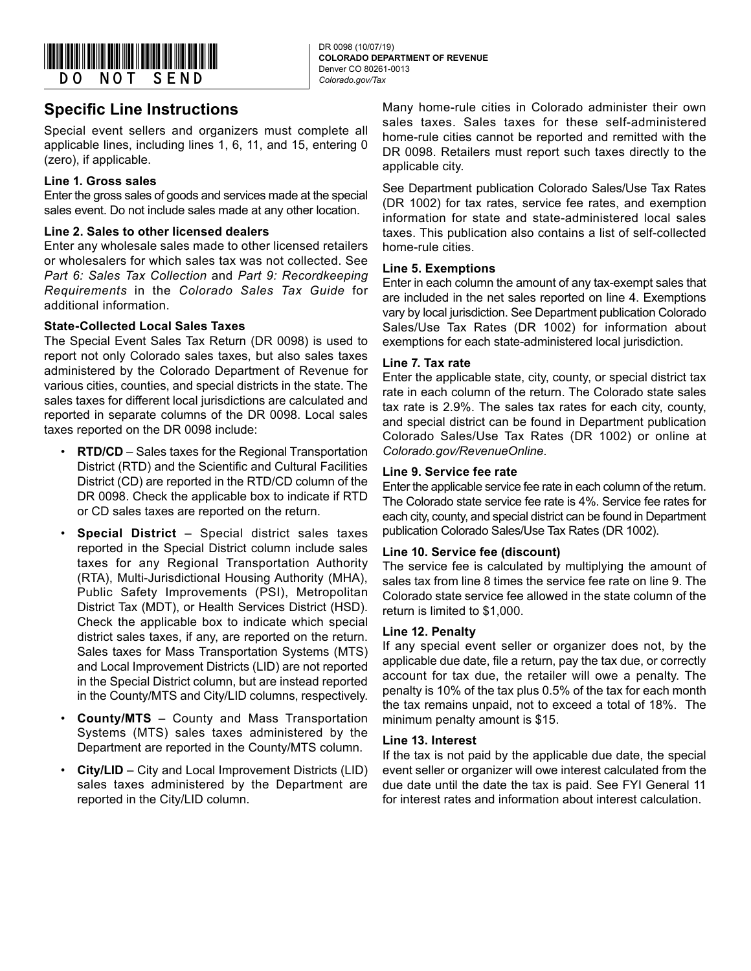

# **Specific Line Instructions**

Special event sellers and organizers must complete all applicable lines, including lines 1, 6, 11, and 15, entering 0 (zero), if applicable.

### **Line 1. Gross sales**

Enter the gross sales of goods and services made at the special sales event. Do not include sales made at any other location.

#### **Line 2. Sales to other licensed dealers**

Enter any wholesale sales made to other licensed retailers or wholesalers for which sales tax was not collected. See *Part 6: Sales Tax Collection* and *Part 9: Recordkeeping Requirements* in the *Colorado Sales Tax Guide* for additional information.

### **State-Collected Local Sales Taxes**

The Special Event Sales Tax Return (DR 0098) is used to report not only Colorado sales taxes, but also sales taxes administered by the Colorado Department of Revenue for various cities, counties, and special districts in the state. The sales taxes for different local jurisdictions are calculated and reported in separate columns of the DR 0098. Local sales taxes reported on the DR 0098 include:

- **RTD/CD**  Sales taxes for the Regional Transportation District (RTD) and the Scientific and Cultural Facilities District (CD) are reported in the RTD/CD column of the DR 0098. Check the applicable box to indicate if RTD or CD sales taxes are reported on the return.
- **Special District**  Special district sales taxes reported in the Special District column include sales taxes for any Regional Transportation Authority (RTA), Multi-Jurisdictional Housing Authority (MHA), Public Safety Improvements (PSI), Metropolitan District Tax (MDT), or Health Services District (HSD). Check the applicable box to indicate which special district sales taxes, if any, are reported on the return. Sales taxes for Mass Transportation Systems (MTS) and Local Improvement Districts (LID) are not reported in the Special District column, but are instead reported in the County/MTS and City/LID columns, respectively.
- **County/MTS**  County and Mass Transportation Systems (MTS) sales taxes administered by the Department are reported in the County/MTS column.
- **City/LID**  City and Local Improvement Districts (LID) sales taxes administered by the Department are reported in the City/LID column.

Many home-rule cities in Colorado administer their own sales taxes. Sales taxes for these self-administered home-rule cities cannot be reported and remitted with the DR 0098. Retailers must report such taxes directly to the applicable city.

See Department publication Colorado Sales/Use Tax Rates (DR 1002) for tax rates, service fee rates, and exemption information for state and state-administered local sales taxes. This publication also contains a list of self-collected home-rule cities.

### **Line 5. Exemptions**

Enter in each column the amount of any tax-exempt sales that are included in the net sales reported on line 4. Exemptions vary by local jurisdiction. See Department publication Colorado Sales/Use Tax Rates (DR 1002) for information about exemptions for each state-administered local jurisdiction.

### **Line 7. Tax rate**

Enter the applicable state, city, county, or special district tax rate in each column of the return. The Colorado state sales tax rate is 2.9%. The sales tax rates for each city, county, and special district can be found in Department publication Colorado Sales/Use Tax Rates (DR 1002) or online at *Colorado.gov/RevenueOnline*.

### **Line 9. Service fee rate**

Enter the applicable service fee rate in each column of the return. The Colorado state service fee rate is 4%. Service fee rates for each city, county, and special district can be found in Department publication Colorado Sales/Use Tax Rates (DR 1002).

#### **Line 10. Service fee (discount)**

The service fee is calculated by multiplying the amount of sales tax from line 8 times the service fee rate on line 9. The Colorado state service fee allowed in the state column of the return is limited to \$1,000.

#### **Line 12. Penalty**

If any special event seller or organizer does not, by the applicable due date, file a return, pay the tax due, or correctly account for tax due, the retailer will owe a penalty. The penalty is 10% of the tax plus 0.5% of the tax for each month the tax remains unpaid, not to exceed a total of 18%. The minimum penalty amount is \$15.

#### **Line 13. Interest**

If the tax is not paid by the applicable due date, the special event seller or organizer will owe interest calculated from the due date until the date the tax is paid. See FYI General 11 for interest rates and information about interest calculation.